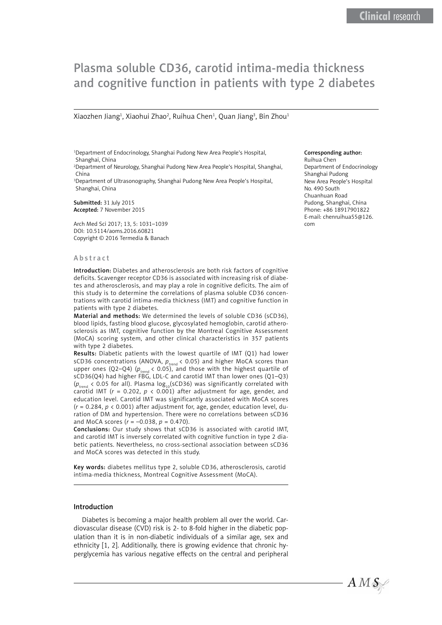# Plasma soluble CD36, carotid intima-media thickness and cognitive function in patients with type 2 diabetes

Xiaozhen Jiang<sup>1</sup>, Xiaohui Zhao<sup>2</sup>, Ruihua Chen<sup>1</sup>, Quan Jiang<sup>3</sup>, Bin Zhou<sup>1</sup>

1 Department of Endocrinology, Shanghai Pudong New Area People's Hospital, Shanghai, China 2 Department of Neurology, Shanghai Pudong New Area People's Hospital, Shanghai,

China 3 Department of Ultrasonography, Shanghai Pudong New Area People's Hospital, Shanghai, China

Submitted: 31 July 2015 Accepted: 7 November 2015

Arch Med Sci 2017; 13, 5: 1031–1039 DOI: 10.5114/aoms.2016.60821 Copyright © 2016 Termedia & Banach

#### Abstract

Introduction: Diabetes and atherosclerosis are both risk factors of cognitive deficits. Scavenger receptor CD36 is associated with increasing risk of diabetes and atherosclerosis, and may play a role in cognitive deficits. The aim of this study is to determine the correlations of plasma soluble CD36 concentrations with carotid intima-media thickness (IMT) and cognitive function in patients with type 2 diabetes.

Material and methods: We determined the levels of soluble CD36 (sCD36), blood lipids, fasting blood glucose, glycosylated hemoglobin, carotid atherosclerosis as IMT, cognitive function by the Montreal Cognitive Assessment (MoCA) scoring system, and other clinical characteristics in 357 patients with type 2 diabetes.

Results: Diabetic patients with the lowest quartile of IMT (Q1) had lower sCD36 concentrations (ANOVA,  $p_{\text{trend}}$  < 0.05) and higher MoCA scores than upper ones (Q2–Q4) ( $p_{\text{trend}}$  < 0.05), and those with the highest quartile of sCD36(Q4) had higher FBG, LDL-C and carotid IMT than lower ones (Q1–Q3) ( $p_{\text{trend}}$  < 0.05 for all). Plasma log<sub>10</sub>(sCD36) was significantly correlated with carotid IMT ( $r = 0.202$ ,  $p \lt 0.001$ ) after adjustment for age, gender, and education level. Carotid IMT was significantly associated with MoCA scores (*r* = 0.284, *p* < 0.001) after adjustment for, age, gender, education level, duration of DM and hypertension. There were no correlations between sCD36 and MoCA scores (*r* = –0.038, *p* = 0.470).

Conclusions: Our study shows that sCD36 is associated with carotid IMT, and carotid IMT is inversely correlated with cognitive function in type 2 diabetic patients. Nevertheless, no cross-sectional association between sCD36 and MoCA scores was detected in this study.

Key words: diabetes mellitus type 2, soluble CD36, atherosclerosis, carotid intima-media thickness, Montreal Cognitive Assessment (MoCA).

## Introduction

Diabetes is becoming a major health problem all over the world. Cardiovascular disease (CVD) risk is 2- to 8-fold higher in the diabetic population than it is in non-diabetic individuals of a similar age, sex and ethnicity [1, 2]. Additionally, there is growing evidence that chronic hyperglycemia has various negative effects on the central and peripheral

## Corresponding author:

Ruihua Chen Department of Endocrinology Shanghai Pudong New Area People's Hospital No. 490 South Chuanhuan Road Pudong, Shanghai, China Phone: +86 18917901822 E-mail: chenruihua55@126. com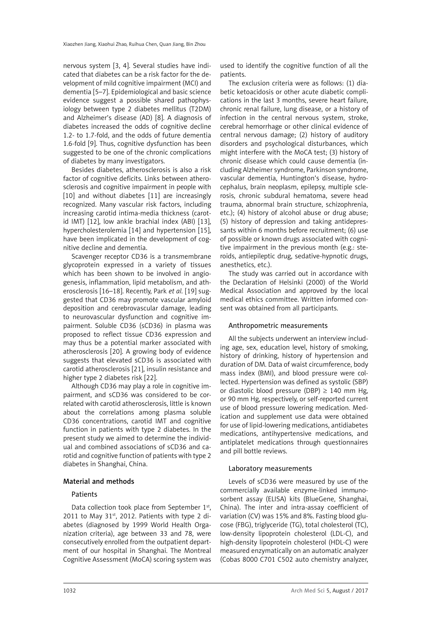nervous system [3, 4]. Several studies have indicated that diabetes can be a risk factor for the development of mild cognitive impairment (MCI) and dementia [5–7]. Epidemiological and basic science evidence suggest a possible shared pathophysiology between type 2 diabetes mellitus (T2DM) and Alzheimer's disease (AD) [8]. A diagnosis of diabetes increased the odds of cognitive decline 1.2- to 1.7-fold, and the odds of future dementia 1.6-fold [9]. Thus, cognitive dysfunction has been suggested to be one of the chronic complications of diabetes by many investigators.

Besides diabetes, atherosclerosis is also a risk factor of cognitive deficits. Links between atherosclerosis and cognitive impairment in people with [10] and without diabetes [11] are increasingly recognized. Many vascular risk factors, including increasing carotid intima-media thickness (carotid IMT) [12], low ankle brachial index (ABI) [13], hypercholesterolemia [14] and hypertension [15], have been implicated in the development of cognitive decline and dementia.

Scavenger receptor CD36 is a transmembrane glycoprotein expressed in a variety of tissues which has been shown to be involved in angiogenesis, inflammation, lipid metabolism, and atherosclerosis [16–18]. Recently, Park *et al.* [19] suggested that CD36 may promote vascular amyloid deposition and cerebrovascular damage, leading to neurovascular dysfunction and cognitive impairment. Soluble CD36 (sCD36) in plasma was proposed to reflect tissue CD36 expression and may thus be a potential marker associated with atherosclerosis [20]. A growing body of evidence suggests that elevated sCD36 is associated with carotid atherosclerosis [21], insulin resistance and higher type 2 diabetes risk [22].

Although CD36 may play a role in cognitive impairment, and sCD36 was considered to be correlated with carotid atherosclerosis, little is known about the correlations among plasma soluble CD36 concentrations, carotid IMT and cognitive function in patients with type 2 diabetes. In the present study we aimed to determine the individual and combined associations of sCD36 and carotid and cognitive function of patients with type 2 diabetes in Shanghai, China.

# Material and methods

# **Patients**

Data collection took place from September 1st, 2011 to May 31st, 2012. Patients with type 2 diabetes (diagnosed by 1999 World Health Organization criteria), age between 33 and 78, were consecutively enrolled from the outpatient department of our hospital in Shanghai. The Montreal Cognitive Assessment (MoCA) scoring system was used to identify the cognitive function of all the patients.

The exclusion criteria were as follows: (1) diabetic ketoacidosis or other acute diabetic complications in the last 3 months, severe heart failure, chronic renal failure, lung disease, or a history of infection in the central nervous system, stroke, cerebral hemorrhage or other clinical evidence of central nervous damage; (2) history of auditory disorders and psychological disturbances, which might interfere with the MoCA test; (3) history of chronic disease which could cause dementia (including Alzheimer syndrome, Parkinson syndrome, vascular dementia, Huntington's disease, hydrocephalus, brain neoplasm, epilepsy, multiple sclerosis, chronic subdural hematoma, severe head trauma, abnormal brain structure, schizophrenia, etc.); (4) history of alcohol abuse or drug abuse; (5) history of depression and taking antidepressants within 6 months before recruitment; (6) use of possible or known drugs associated with cognitive impairment in the previous month (e.g.: steroids, antiepileptic drug, sedative-hypnotic drugs, anesthetics, etc.).

The study was carried out in accordance with the Declaration of Helsinki (2000) of the World Medical Association and approved by the local medical ethics committee. Written informed consent was obtained from all participants.

# Anthropometric measurements

All the subjects underwent an interview including age, sex, education level, history of smoking, history of drinking, history of hypertension and duration of DM. Data of waist circumference, body mass index (BMI), and blood pressure were collected. Hypertension was defined as systolic (SBP) or diastolic blood pressure (DBP)  $\geq$  140 mm Hg, or 90 mm Hg, respectively, or self-reported current use of blood pressure lowering medication. Medication and supplement use data were obtained for use of lipid-lowering medications, antidiabetes medications, antihypertensive medications, and antiplatelet medications through questionnaires and pill bottle reviews.

# Laboratory measurements

Levels of sCD36 were measured by use of the commercially available enzyme-linked immunosorbent assay (ELISA) kits (BlueGene, Shanghai, China). The inter and intra-assay coefficient of variation (CV) was 15% and 8%. Fasting blood glucose (FBG), triglyceride (TG), total cholesterol (TC), low-density lipoprotein cholesterol (LDL-C), and high-density lipoprotein cholesterol (HDL-C) were measured enzymatically on an automatic analyzer (Cobas 8000 C701 C502 auto chemistry analyzer,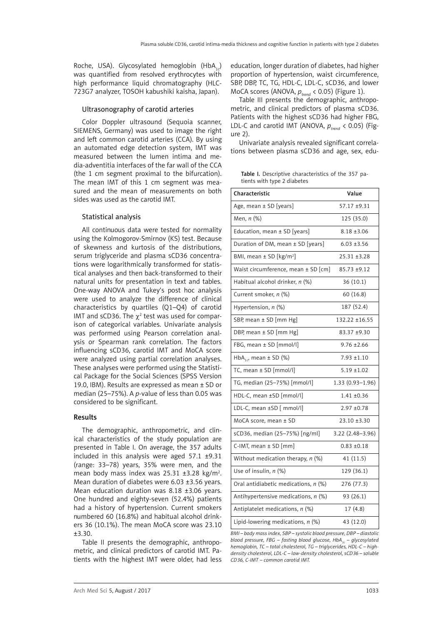Roche, USA). Glycosylated hemoglobin (HbA<sub>1c</sub>) was quantified from resolved erythrocytes with high performance liquid chromatography (HLC-723G7 analyzer, TOSOH kabushiki kaisha, Japan).

## Ultrasonography of carotid arteries

Color Doppler ultrasound (Sequoia scanner, SIEMENS, Germany) was used to image the right and left common carotid arteries (CCA). By using an automated edge detection system, IMT was measured between the lumen intima and media-adventitia interfaces of the far wall of the CCA (the 1 cm segment proximal to the bifurcation). The mean IMT of this 1 cm segment was measured and the mean of measurements on both sides was used as the carotid IMT.

## Statistical analysis

All continuous data were tested for normality using the Kolmogorov-Smirnov (KS) test. Because of skewness and kurtosis of the distributions, serum triglyceride and plasma sCD36 concentrations were logarithmically transformed for statistical analyses and then back-transformed to their natural units for presentation in text and tables. One-way ANOVA and Tukey's post hoc analysis were used to analyze the difference of clinical characteristics by quartiles (Q1–Q4) of carotid IMT and sCD36. The  $\chi^2$  test was used for comparison of categorical variables. Univariate analysis was performed using Pearson correlation analysis or Spearman rank correlation. The factors influencing sCD36, carotid IMT and MoCA score were analyzed using partial correlation analyses. These analyses were performed using the Statistical Package for the Social Sciences (SPSS Version 19.0, IBM). Results are expressed as mean ± SD or median (25–75%). A *p*-value of less than 0.05 was considered to be significant.

## Results

The demographic, anthropometric, and clinical characteristics of the study population are presented in Table I. On average, the 357 adults included in this analysis were aged 57.1 ±9.31 (range: 33–78) years, 35% were men, and the mean body mass index was  $25.31 \pm 3.28$  kg/m<sup>2</sup>. Mean duration of diabetes were 6.03 ±3.56 years. Mean education duration was 8.18 ±3.06 years. One hundred and eighty-seven (52.4%) patients had a history of hypertension. Current smokers numbered 60 (16.8%) and habitual alcohol drinkers 36 (10.1%). The mean MoCA score was 23.10 ±3.30.

Table II presents the demographic, anthropometric, and clinical predictors of carotid IMT. Patients with the highest IMT were older, had less

education, longer duration of diabetes, had higher proportion of hypertension, waist circumference, SBP, DBP, TC, TG, HDL-C, LDL-C, sCD36, and lower MoCA scores (ANOVA,  $p_{\text{trend}}$  < 0.05) (Figure 1).

Table III presents the demographic, anthropometric, and clinical predictors of plasma sCD36. Patients with the highest sCD36 had higher FBG, LDL-C and carotid IMT (ANOVA,  $p_{trend}$  < 0.05) (Figure 2).

Univariate analysis revealed significant correlations between plasma sCD36 and age, sex, edu-

Table I. Descriptive characteristics of the 357 patients with type 2 diabetes

| Characteristic                          | Value            |  |  |  |
|-----------------------------------------|------------------|--|--|--|
| Age, mean ± SD [years]                  | 57.17 ±9.31      |  |  |  |
| Men, n (%)                              | 125 (35.0)       |  |  |  |
| Education, mean $\pm$ SD [years]        | $8.18 \pm 3.06$  |  |  |  |
| Duration of DM, mean ± SD [years]       | $6.03 + 3.56$    |  |  |  |
| BMI, mean $\pm$ SD [kg/m <sup>2</sup> ] | 25.31 ±3.28      |  |  |  |
| Waist circumference, mean $\pm$ SD [cm] | 85.73 ±9.12      |  |  |  |
| Habitual alcohol drinker, n (%)         | 36 (10.1)        |  |  |  |
| Current smoker, n (%)                   | 60 (16.8)        |  |  |  |
| Hypertension, n (%)                     | 187 (52.4)       |  |  |  |
| SBP, mean ± SD [mm Hg]                  | 132.22 ±16.55    |  |  |  |
| DBP, mean ± SD [mm Hg]                  | 83.37 ±9.30      |  |  |  |
| FBG, mean ± SD [mmol/l]                 | $9.76 \pm 2.66$  |  |  |  |
| HbA <sub>1c</sub> , mean $\pm$ SD (%)   | $7.93 + 1.10$    |  |  |  |
| TC, mean $\pm$ SD [mmol/l]              | $5.19 \pm 1.02$  |  |  |  |
| TG, median (25-75%) [mmol/l]            | 1.33 (0.93-1.96) |  |  |  |
| HDL-C, mean ±SD [mmol/l]                | $1.41 + 0.36$    |  |  |  |
| LDL-C, mean $\pm$ SD [ mmol/l]          | $2.97 + 0.78$    |  |  |  |
| MoCA score, mean ± SD                   | 23.10 ±3.30      |  |  |  |
| sCD36, median (25-75%) [ng/ml]          | 3.22 (2.48-3.96) |  |  |  |
| C-IMT, mean $\pm$ SD [mm]               | $0.83 + 0.18$    |  |  |  |
| Without medication therapy, $n$ (%)     | 41 (11.5)        |  |  |  |
| Use of insulin, n (%)                   | 129 (36.1)       |  |  |  |
| Oral antidiabetic medications, n (%)    | 276 (77.3)       |  |  |  |
| Antihypertensive medications, $n$ (%)   | 93 (26.1)        |  |  |  |
| Antiplatelet medications, n (%)         | 17 (4.8)         |  |  |  |
| Lipid-lowering medications, $n$ (%)     | 43 (12.0)        |  |  |  |
|                                         |                  |  |  |  |

*BMI – body mass index, SBP – systolic blood pressure, DBP – diastolic blood pressure, FBG – fasting blood glucose, HbA<sub>1c</sub> – glycosylated hemoglobin, TC – total cholesterol, TG – triglycerides, HDL-C – highdensity cholesterol, LDL-C – low-density cholesterol, sCD36 – soluble CD36, C-IMT – common carotid IMT.*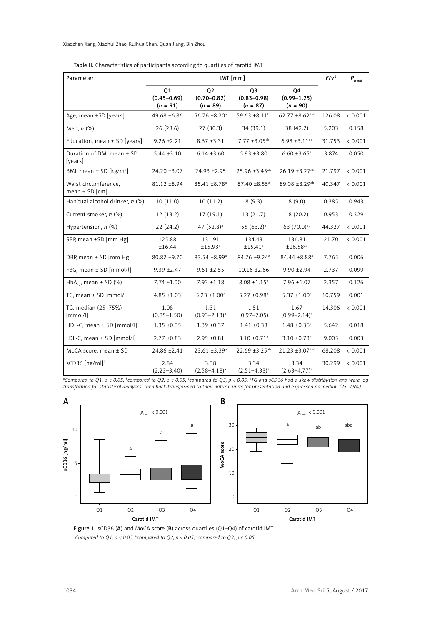## Table II. Characteristics of participants according to quartiles of carotid IMT

| Parameter                                      | $IMT$ [mm]                                                                            |                                                                     |                                                 |                                     |         | $\boldsymbol{P}_{trend}$ |
|------------------------------------------------|---------------------------------------------------------------------------------------|---------------------------------------------------------------------|-------------------------------------------------|-------------------------------------|---------|--------------------------|
|                                                | Q1<br>$(0.45 - 0.69)$<br>$(n = 91)$                                                   | Q <sub>2</sub><br>$(0.70 - 0.82)$<br>$(n = 89)$                     | Q <sub>3</sub><br>$(0.83 - 0.98)$<br>$(n = 87)$ | 04<br>$(0.99 - 1.25)$<br>$(n = 90)$ |         |                          |
| Age, mean ±SD [years]                          | 49.68 ±6.86                                                                           | 56.76 ±8.20 <sup>a</sup><br>59.63 ±8.11bc                           |                                                 | $62.77 + 8.62$ abc                  | 126.08  | < 0.001                  |
| Men, n (%)                                     | 26(28.6)                                                                              | 27(30.3)                                                            | 34 (39.1)                                       | 38 (42.2)                           | 5.203   | 0.158                    |
| Education, mean ± SD [years]                   | $9.26 \pm 2.21$                                                                       | $6.98 \pm 3.11^{ab}$<br>$8.67 \pm 3.31$<br>7.77 ±3.05 <sup>ab</sup> |                                                 | 31.753                              | < 0.001 |                          |
| Duration of DM, mean ± SD<br>[years]           | $5.44 \pm 3.10$<br>$6.14 \pm 3.60$<br>$5.93 \pm 3.80$<br>$6.60 \pm 3.65$ <sup>a</sup> |                                                                     |                                                 | 3.874                               | 0.050   |                          |
| BMI, mean $\pm$ SD [kg/m <sup>2</sup> ]        | 24.20 ±3.07                                                                           | 24.93 ± 2.95                                                        | $25.96 \pm 3.45$ <sup>ab</sup>                  | 26.19 ±3.27 <sup>ab</sup>           | 21.797  | < 0.001                  |
| Waist circumference,<br>mean $\pm$ SD [cm]     | 81.12 ±8.94<br>$85.41 \pm 8.78$ <sup>a</sup><br>87.40 ±8.55 <sup>a</sup>              |                                                                     | 89.08 ±8.29 <sup>ab</sup>                       | 40.347                              | < 0.001 |                          |
| Habitual alcohol drinker, n (%)                | 10(11.0)                                                                              | 10(11.2)                                                            | 8(9.3)                                          | 8(9.0)                              | 0.385   | 0.943                    |
| Current smoker, n (%)                          | 12(13.2)                                                                              | 13(21.7)<br>18 (20.2)<br>17(19.1)                                   |                                                 | 0.953                               | 0.329   |                          |
| Hypertension, $n$ (%)                          | 22(24.2)                                                                              | 47 $(52.8)^a$                                                       | 55 $(63.2)^a$                                   | 63 (70.0) <sup>ab</sup>             | 44.327  | < 0.001                  |
| SBP, mean ±SD [mm Hg]                          | 125.88<br>±16.44                                                                      | 131.91<br>±15.93 <sup>a</sup>                                       | 134.43<br>±15.41 <sup>a</sup>                   | 136.81<br>±16.58 <sup>ab</sup>      | 21.70   | < 0.001                  |
| DBP, mean ± SD [mm Hg]                         | 80.82 ±9.70                                                                           | 83.54 ±8.99 <sup>a</sup>                                            | 84.76 ±9.24 <sup>a</sup>                        | 84.44 ±8.88 <sup>a</sup>            | 7.765   | 0.006                    |
| FBG, mean ± SD [mmol/l]                        | $9.39 \pm 2.47$                                                                       | $9.61 \pm 2.55$                                                     | $10.16 \pm 2.66$                                | $9.90 \pm 2.94$                     | 2.737   | 0.099                    |
| HbA <sub>1c</sub> , mean $\pm$ SD (%)          | $7.74 \pm 1.00$                                                                       | $7.93 \pm 1.18$                                                     | $8.08 \pm 1.15^a$                               | $7.96 \pm 1.07$                     | 2.357   | 0.126                    |
| TC, mean $\pm$ SD [mmol/l]                     | $4.85 \pm 1.03$                                                                       | $5.23 \pm 1.00^a$                                                   | 5.27 ±0.98 <sup>a</sup>                         | $5.37 \pm 1.00^a$                   | 10.759  | 0.001                    |
| TG, median (25-75%)<br>$[mmol/l]$ <sup>†</sup> | 1.08<br>$(0.85 - 1.50)$                                                               | 1.31<br>$(0.93 - 2.13)^a$                                           | 1.51<br>$(0.97 - 2.05)$                         | 1.67<br>$(0.99 - 2.14)^a$           | 14.306  | < 0.001                  |
| HDL-C, mean $\pm$ SD [mmol/l]                  | $1.35 \pm 0.35$                                                                       | $1.39 \pm 0.37$                                                     | $1.41 \pm 0.38$                                 | $1.48 \pm 0.36^a$                   | 5.642   | 0.018                    |
| LDL-C, mean ± SD [mmol/l]                      | $2.77 \pm 0.83$                                                                       | $2.95 \pm 0.81$                                                     | $3.10 \pm 0.71$ <sup>a</sup>                    | $3.10 \pm 0.73$ <sup>a</sup>        | 9.005   | 0.003                    |
| MoCA score, mean ± SD                          | 24.86 ±2.41                                                                           | $23.61 \pm 3.39^a$                                                  | $22.69 \pm 3.25^{ab}$                           | 21.23 ±3.07abc                      | 68.208  | < 0.001                  |
| sCD36 [ng/ml] <sup>†</sup>                     | 2.84<br>$(2.23 - 3.40)$                                                               | 3.38<br>$(2.58 - 4.18)^a$                                           | 3.34<br>$(2.51 - 4.33)^a$                       | 3.34<br>$(2.63 - 4.77)^a$           | 30.299  | < 0.001                  |

*a Compared to Q1, p < 0.05, b compared to Q2, p < 0.05, c compared to Q3, p < 0.05. † TG and sCD36 had a skew distribution and were log transformed for statistical analyses, then back-transformed to their natural units for presentation and expressed as median (25–75%).*



Figure 1. sCD36 (A) and MoCA score (B) across quartiles (Q1-Q4) of carotid IMT *a Compared to Q1, p < 0.05, b compared to Q2, p < 0.05, c compared to Q3, p < 0.05.*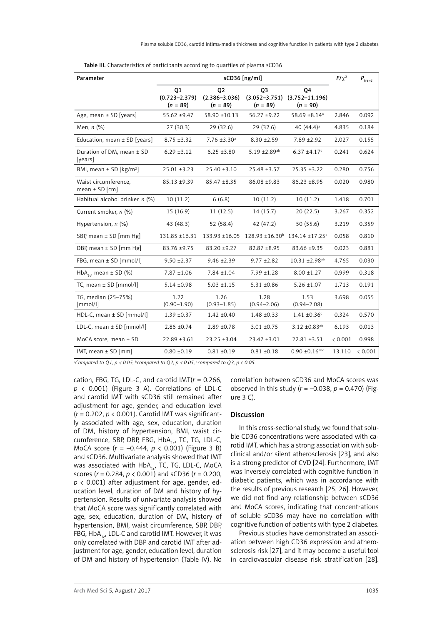|  | Table III. Characteristics of participants according to quartiles of plasma sCD36 |
|--|-----------------------------------------------------------------------------------|
|--|-----------------------------------------------------------------------------------|

| Parameter                                  | sCD36 [ng/ml]                                                                      |                                       |                                                   |                                                                     |         | $\textit{P}_{\rm trend}$ |
|--------------------------------------------|------------------------------------------------------------------------------------|---------------------------------------|---------------------------------------------------|---------------------------------------------------------------------|---------|--------------------------|
|                                            | 01<br>$(0.723 - 2.379)$<br>$(n = 89)$                                              | 02<br>$(2.386 - 3.036)$<br>$(n = 89)$ | O <sub>3</sub><br>$(3.052 - 3.751)$<br>$(n = 89)$ | 04<br>$(3.752 - 11.196)$<br>$(n = 90)$                              |         |                          |
| Age, mean $\pm$ SD [years]                 | 55.62 ±9.47                                                                        | 58.90 ±10.13                          | $56.27 + 9.22$                                    | 58.69 ±8.14 <sup>a</sup>                                            | 2.846   | 0.092                    |
| Men, n (%)                                 | 27(30.3)                                                                           | 29(32.6)                              | 29(32.6)                                          | 40 $(44.4)^a$                                                       | 4.835   | 0.184                    |
| Education, mean $\pm$ SD [years]           | $8.75 + 3.32$                                                                      | $7.76 \pm 3.30^a$                     | $8.30 \pm 2.59$                                   | $7.89 \pm 2.92$                                                     | 2.027   | 0.155                    |
| Duration of DM, mean ± SD<br>[years]       | $6.29 \pm 3.12$                                                                    | $6.25 + 3.80$                         | 5.19 ±2.89ab                                      | $6.37 \pm 4.17$ <sup>c</sup>                                        | 0.241   | 0.624                    |
| BMI, mean $\pm$ SD [kg/m <sup>2</sup> ]    | $25.01 \pm 3.23$                                                                   | $25.40 \pm 3.10$                      | 25.48 ±3.57                                       | $25.35 \pm 3.22$                                                    | 0.280   | 0.756                    |
| Waist circumference,<br>$mean \pm SD$ [cm] | 85.13 ±9.39                                                                        | $85.47 \pm 8.35$                      | 86.08 ±9.83                                       | $86.23 \pm 8.95$                                                    | 0.020   | 0.980                    |
| Habitual alcohol drinker, n (%)            | 10(11.2)<br>6(6.8)<br>10(11.2)                                                     |                                       |                                                   | 10(11.2)                                                            | 1.418   | 0.701                    |
| Current smoker, n (%)                      | 15(16.9)                                                                           | 11(12.5)                              | 14(15.7)                                          | 20(22.5)                                                            | 3.267   | 0.352                    |
| Hypertension, $n$ (%)                      | 43 (48.3)                                                                          | 52 (58.4)                             | 42 (47.2)                                         | 50 (55.6)                                                           | 3.219   | 0.359                    |
| SBP, mean ± SD [mm Hg]                     | 131.85 ±16.31                                                                      |                                       |                                                   | 133.93 ±16.05 128.93 ±16.30 <sup>b</sup> 134.14 ±17.25 <sup>c</sup> | 0.058   | 0.810                    |
| DBP, mean ± SD [mm Hg]                     | 83.76 ±9.75                                                                        | 83.20 ±9.27<br>$82.87 + 8.95$         |                                                   | 83.66 ±9.35                                                         | 0.023   | 0.881                    |
| FBG, mean ± SD [mmol/l]                    | $9.50 \pm 2.37$<br>$9.46 \pm 2.39$<br>$9.77 \pm 2.82$<br>10.31 ±2.98 <sup>ab</sup> |                                       | 4.765                                             | 0.030                                                               |         |                          |
| HbA <sub>1c</sub> , mean $\pm$ SD (%)      | $7.87 \pm 1.06$                                                                    | $7.84 \pm 1.04$                       | $7.99 \pm 1.28$                                   | $8.00 \pm 1.27$                                                     | 0.999   | 0.318                    |
| TC, mean ± SD [mmol/l]                     | $5.14 \pm 0.98$                                                                    | $5.03 \pm 1.15$                       | $5.31 + 0.86$                                     | $5.26 \pm 1.07$                                                     | 1.713   | 0.191                    |
| TG, median (25-75%)<br>[mmol/l]            | 1.22<br>$(0.90 - 1.90)$                                                            | 1.26<br>$(0.93 - 1.85)$               | 1.28<br>$(0.94 - 2.06)$                           | 1.53<br>$(0.94 - 2.08)$                                             | 3.698   | 0.055                    |
| HDL-C, mean ± SD [mmol/l]                  | $1.39 + 0.37$                                                                      | $1.42 \pm 0.40$                       | $1.48 + 0.33$                                     | $1.41 \pm 0.36$                                                     | 0.324   | 0.570                    |
| LDL-C, mean ± SD [mmol/l]                  | $2.86 \pm 0.74$                                                                    | $2.89 + 0.78$                         | $3.01 + 0.75$                                     | 3.12 $\pm$ 0.83 <sup>ab</sup>                                       | 6.193   | 0.013                    |
| MoCA score, mean ± SD                      | $22.89 \pm 3.61$                                                                   | 23.25 ±3.04                           | 23.47 ±3.01                                       | 22.81 ±3.51                                                         | < 0.001 | 0.998                    |
| IMT, mean $\pm$ SD [mm]                    | $0.80 + 0.19$                                                                      | $0.81 + 0.19$                         | $0.81 + 0.18$                                     | $0.90 \pm 0.16$ abc                                                 | 13.110  | < 0.001                  |

*a Compared to Q1, p < 0.05, b compared to Q2, p < 0.05, c compared to Q3, p < 0.05.*

cation, FBG, TG, LDL-C, and carotid IMT(*r* = 0.266,  $p \le 0.001$ ) (Figure 3 A). Correlations of LDL-C and carotid IMT with sCD36 still remained after adjustment for age, gender, and education level (*r* = 0.202, *p* < 0.001). Carotid IMT was significantly associated with age, sex, education, duration of DM, history of hypertension, BMI, waist circumference, SBP, DBP, FBG, HbA<sub>1c</sub>, TC, TG, LDL-C, MoCA score (*r* = –0.444, *p* < 0.001) (Figure 3 B) and sCD36. Multivariate analysis showed that IMT was associated with  $HbA_{1c}$ , TC, TG, LDL-C, MoCA scores (*r* = 0.284, *p* < 0.001) and sCD36 (*r* = 0.200, *p* < 0.001) after adjustment for age, gender, education level, duration of DM and history of hypertension. Results of univariate analysis showed that MoCA score was significantly correlated with age, sex, education, duration of DM, history of hypertension, BMI, waist circumference, SBP, DBP, FBG,  $HbA_{1c}$ , LDL-C and carotid IMT. However, it was only correlated with DBP and carotid IMT after adjustment for age, gender, education level, duration of DM and history of hypertension (Table IV). No correlation between sCD36 and MoCA scores was observed in this study (*r* = –0.038, *p* = 0.470) (Figure 3 C).

#### Discussion

In this cross-sectional study, we found that soluble CD36 concentrations were associated with carotid IMT, which has a strong association with subclinical and/or silent atherosclerosis [23], and also is a strong predictor of CVD [24]. Furthermore, IMT was inversely correlated with cognitive function in diabetic patients, which was in accordance with the results of previous research [25, 26]. However, we did not find any relationship between sCD36 and MoCA scores, indicating that concentrations of soluble sCD36 may have no correlation with cognitive function of patients with type 2 diabetes.

Previous studies have demonstrated an association between high CD36 expression and atherosclerosis risk [27], and it may become a useful tool in cardiovascular disease risk stratification [28].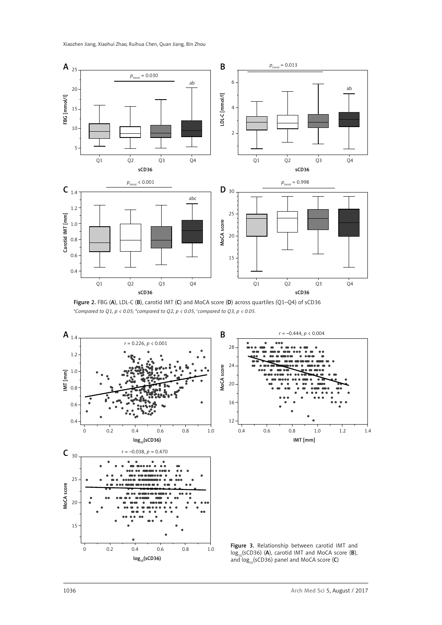Xiaozhen Jiang, Xiaohui Zhao, Ruihua Chen, Quan Jiang, Bin Zhou



Figure 2. FBG (A), LDL-C (B), carotid IMT (C) and MoCA score (D) across quartiles (Q1–Q4) of sCD36 *a Compared to Q1, p < 0.05; b compared to Q2, p < 0.05, c compared to Q3, p < 0.05.*



 $log_{10}(sCD36)$  (A), carotid IMT and MoCA score (B), and  $log_{10}(sCD36)$  panel and MoCA score (C)

 $log_{10}(sCD36)$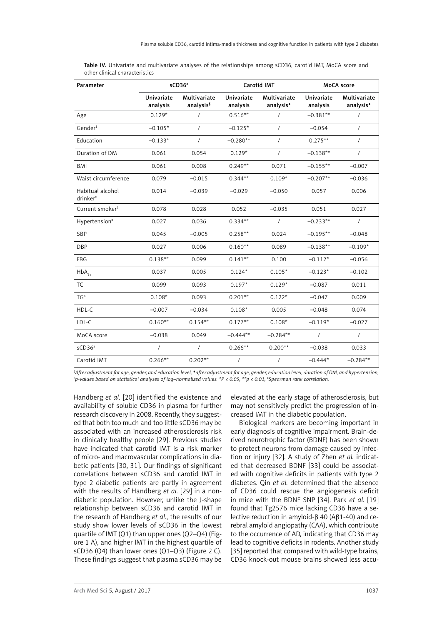| Parameter                                |                        | sCD36 <sup>a</sup>                    | Carotid IMT            |                           | MoCA score             |                                       |
|------------------------------------------|------------------------|---------------------------------------|------------------------|---------------------------|------------------------|---------------------------------------|
|                                          | Univariate<br>analysis | Multivariate<br>analysis <sup>§</sup> | Univariate<br>analysis | Multivariate<br>analysis* | Univariate<br>analysis | Multivariate<br>analysis <sup>*</sup> |
| Age                                      | $0.129*$               | $\prime$                              | $0.516**$              | $\prime$                  | $-0.381**$             | $\sqrt{2}$                            |
| Gender <sup>#</sup>                      | $-0.105*$              | $\sqrt{ }$                            | $-0.125*$              | $\sqrt{ }$                | $-0.054$               | $\sqrt{2}$                            |
| Education                                | $-0.133*$              | $\sqrt{ }$                            | $-0.280**$             | $\sqrt{ }$                | $0.275**$              | $\sqrt{2}$                            |
| Duration of DM                           | 0.061                  | 0.054                                 | $0.129*$               | $\prime$                  | $-0.138**$             | $\sqrt{2}$                            |
| <b>BMI</b>                               | 0.061                  | 0.008                                 | $0.249**$              | 0.071                     | $-0.155**$             | $-0.007$                              |
| Waist circumference                      | 0.079                  | $-0.015$                              | $0.344**$              | $0.109*$                  | $-0.207**$             | $-0.036$                              |
| Habitual alcohol<br>drinker <sup>#</sup> | 0.014                  | $-0.039$                              | $-0.029$               | $-0.050$                  | 0.057                  | 0.006                                 |
| Current smoker <sup>#</sup>              | 0.078                  | 0.028                                 | 0.052                  | $-0.035$                  | 0.051                  | 0.027                                 |
| Hypertension <sup>#</sup>                | 0.027                  | 0.036                                 | $0.334**$              | $\sqrt{2}$                | $-0.233**$             | $\prime$                              |
| SBP                                      | 0.045                  | $-0.005$                              | $0.258**$              | 0.024                     | $-0.195**$             | $-0.048$                              |
| <b>DBP</b>                               | 0.027                  | 0.006                                 | $0.160**$              | 0.089                     | $-0.138**$             | $-0.109*$                             |
| FBG                                      | $0.138**$              | 0.099                                 | $0.141**$              | 0.100                     | $-0.112*$              | $-0.056$                              |
| $\mathsf{HbA}_{_{1\mathfrak{c}}}$        | 0.037                  | 0.005                                 | $0.124*$               | $0.105*$                  | $-0.123*$              | $-0.102$                              |
| <b>TC</b>                                | 0.099                  | 0.093                                 | $0.197*$               | $0.129*$                  | $-0.087$               | 0.011                                 |
| TG <sup>a</sup>                          | $0.108*$               | 0.093                                 | $0.201**$              | $0.122*$                  | $-0.047$               | 0.009                                 |
| HDL-C                                    | $-0.007$               | $-0.034$                              | $0.108*$               | 0.005                     | $-0.048$               | 0.074                                 |
| LDL-C                                    | $0.160**$              | $0.154**$                             | $0.177**$              | $0.108*$                  | $-0.119*$              | $-0.027$                              |
| MoCA score                               | $-0.038$               | 0.049                                 | $-0.444**$             | $-0.284**$                | $\sqrt{2}$             | $\sqrt{ }$                            |
| sCD36ª                                   | $\sqrt{ }$             | $\sqrt{ }$                            | $0.266**$              | $0.200**$                 | $-0.038$               | 0.033                                 |
| Carotid IMT                              | $0.266**$              | $0.202**$                             | $\prime$               | /                         | $-0.444*$              | $-0.284**$                            |

Table IV. Univariate and multivariate analyses of the relationships among sCD36, carotid IMT, MoCA score and other clinical characteristics

*§ After adjustment for age, gender, and education level,* ♦*after adjustment for age, gender, education level, duration of DM, and hypertension, a p-values based on statistical analyses of log–normalized values. \*P < 0.05, \*\*p < 0.01; ‡ Spearman rank correlation.*

Handberg *et al.* [20] identified the existence and availability of soluble CD36 in plasma for further research discovery in 2008. Recently, they suggested that both too much and too little sCD36 may be associated with an increased atherosclerosis risk in clinically healthy people [29]. Previous studies have indicated that carotid IMT is a risk marker of micro- and macrovascular complications in diabetic patients [30, 31]. Our findings of significant correlations between sCD36 and carotid IMT in type 2 diabetic patients are partly in agreement with the results of Handberg *et al.* [29] in a nondiabetic population. However, unlike the J-shape relationship between sCD36 and carotid IMT in the research of Handberg *et al.*, the results of our study show lower levels of sCD36 in the lowest quartile of IMT (Q1) than upper ones (Q2–Q4) (Figure 1 A), and higher IMT in the highest quartile of sCD36 (Q4) than lower ones (Q1–Q3) (Figure 2 C). These findings suggest that plasma sCD36 may be elevated at the early stage of atherosclerosis, but may not sensitively predict the progression of increased IMT in the diabetic population.

Biological markers are becoming important in early diagnosis of cognitive impairment. Brain-derived neurotrophic factor (BDNF) has been shown to protect neurons from damage caused by infection or injury [32]. A study of Zhen *et al.* indicated that decreased BDNF [33] could be associated with cognitive deficits in patients with type 2 diabetes. Qin *et al.* determined that the absence of CD36 could rescue the angiogenesis deficit in mice with the BDNF SNP [34]. Park *et al.* [19] found that Tg2576 mice lacking CD36 have a selective reduction in amyloid-β 40 (Aβ1-40) and cerebral amyloid angiopathy (CAA), which contribute to the occurrence of AD, indicating that CD36 may lead to cognitive deficits in rodents. Another study [35] reported that compared with wild-type brains, CD36 knock-out mouse brains showed less accu-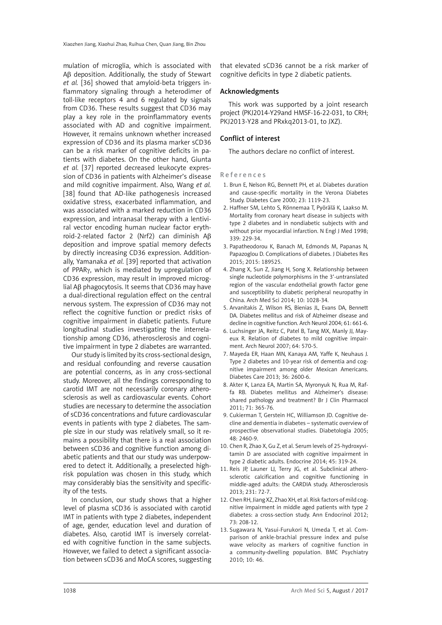mulation of microglia, which is associated with Aβ deposition. Additionally, the study of Stewart *et al.* [36] showed that amyloid-beta triggers inflammatory signaling through a heterodimer of toll-like receptors 4 and 6 regulated by signals from CD36. These results suggest that CD36 may play a key role in the proinflammatory events associated with AD and cognitive impairment. However, it remains unknown whether increased expression of CD36 and its plasma marker sCD36 can be a risk marker of cognitive deficits in patients with diabetes. On the other hand, Giunta *et al.* [37] reported decreased leukocyte expression of CD36 in patients with Alzheimer's disease and mild cognitive impairment. Also, Wang *et al.* [38] found that AD-like pathogenesis increased oxidative stress, exacerbated inflammation, and was associated with a marked reduction in CD36 expression, and intranasal therapy with a lentiviral vector encoding human nuclear factor erythroid-2-related factor 2 (Nrf2) can diminish Aβ deposition and improve spatial memory defects by directly increasing CD36 expression. Additionally, Yamanaka *et al.* [39] reported that activation of PPARγ, which is mediated by upregulation of CD36 expression, may result in improved microglial Aβ phagocytosis. It seems that CD36 may have a dual-directional regulation effect on the central nervous system. The expression of CD36 may not reflect the cognitive function or predict risks of cognitive impairment in diabetic patients. Future longitudinal studies investigating the interrelationship among CD36, atherosclerosis and cognitive impairment in type 2 diabetes are warranted.

Our study is limited by its cross-sectional design, and residual confounding and reverse causation are potential concerns, as in any cross-sectional study. Moreover, all the findings corresponding to carotid IMT are not necessarily coronary atherosclerosis as well as cardiovascular events. Cohort studies are necessary to determine the association of sCD36 concentrations and future cardiovascular events in patients with type 2 diabetes. The sample size in our study was relatively small, so it remains a possibility that there is a real association between sCD36 and cognitive function among diabetic patients and that our study was underpowered to detect it. Additionally, a preselected highrisk population was chosen in this study, which may considerably bias the sensitivity and specificity of the tests.

In conclusion, our study shows that a higher level of plasma sCD36 is associated with carotid IMT in patients with type 2 diabetes, independent of age, gender, education level and duration of diabetes. Also, carotid IMT is inversely correlated with cognitive function in the same subjects. However, we failed to detect a significant association between sCD36 and MoCA scores, suggesting

that elevated sCD36 cannot be a risk marker of cognitive deficits in type 2 diabetic patients.

#### Acknowledgments

This work was supported by a joint research project (PKJ2014-Y29and HMSF-16-22-031, to CRH; PKJ2013-Y28 and PRxkq2013-01, to JXZ).

## Conflict of interest

The authors declare no conflict of interest.

#### References

- 1. Brun E, Nelson RG, Bennett PH, et al. Diabetes duration and cause-specific mortality in the Verona Diabetes Study. Diabetes Care 2000; 23: 1119-23.
- 2. Haffner SM, Lehto S, Rönnemaa T, Pyörälä K, Laakso M. Mortality from coronary heart disease in subjects with type 2 diabetes and in nondiabetic subjects with and without prior myocardial infarction. N Engl J Med 1998; 339: 229-34.
- 3. Papatheodorou K, Banach M, Edmonds M, Papanas N, Papazoglou D. Complications of diabetes. J Diabetes Res 2015; 2015: 189525.
- 4. Zhang X, Sun Z, Jiang H, Song X. Relationship between single nucleotide polymorphisms in the 3'-untranslated region of the vascular endothelial growth factor gene and susceptibility to diabetic peripheral neuropathy in China. Arch Med Sci 2014; 10: 1028-34.
- 5. Arvanitakis Z, Wilson RS, Bienias JL, Evans DA, Bennett DA. Diabetes mellitus and risk of Alzheimer disease and decline in cognitive function. Arch Neurol 2004; 61: 661-6.
- 6. Luchsinger JA, Reitz C, Patel B, Tang MX, Manly JJ, Mayeux R. Relation of diabetes to mild cognitive impairment. Arch Neurol 2007; 64: 570-5.
- 7. Mayeda ER, Haan MN, Kanaya AM, Yaffe K, Neuhaus J. Type 2 diabetes and 10-year risk of dementia and cognitive impairment among older Mexican Americans. Diabetes Care 2013; 36: 2600-6.
- 8. Akter K, Lanza EA, Martin SA, Myronyuk N, Rua M, Raffa RB. Diabetes mellitus and Alzheimer's disease: shared pathology and treatment? Br J Clin Pharmacol 2011; 71: 365-76.
- 9. Cukierman T, Gerstein HC, Williamson JD. Cognitive decline and dementia in diabetes – systematic overview of prospective observational studies. Diabetologia 2005; 48: 2460-9.
- 10. Chen R, Zhao X, Gu Z, et al. Serum levels of 25-hydroxyvitamin D are associated with cognitive impairment in type 2 diabetic adults. Endocrine 2014; 45: 319-24.
- 11. Reis JP, Launer LJ, Terry JG, et al. Subclinical atherosclerotic calcification and cognitive functioning in middle-aged adults: the CARDIA study. Atherosclerosis 2013; 231: 72-7.
- 12. Chen RH, Jiang XZ, Zhao XH, et al. Risk factors of mild cognitive impairment in middle aged patients with type 2 diabetes: a cross-section study. Ann Endocrinol 2012; 73: 208-12.
- 13. Sugawara N, Yasui-Furukori N, Umeda T, et al. Comparison of ankle-brachial pressure index and pulse wave velocity as markers of cognitive function in a community-dwelling population. BMC Psychiatry 2010; 10: 46.